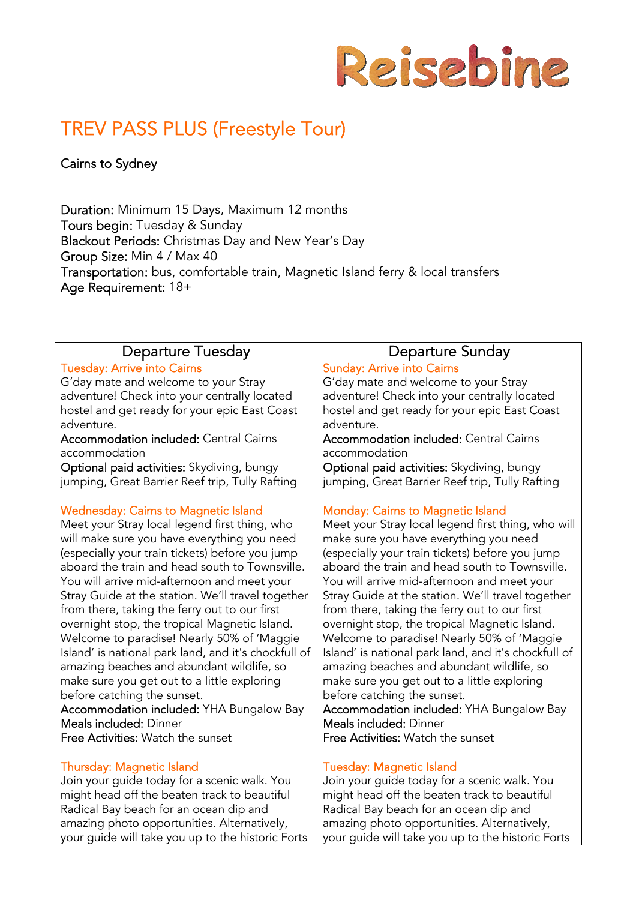

# TREV PASS PLUS (Freestyle Tour)

Cairns to Sydney

Duration: Minimum 15 Days, Maximum 12 months Tours begin: Tuesday & Sunday Blackout Periods: Christmas Day and New Year's Day Group Size: Min 4 / Max 40 Transportation: bus, comfortable train, Magnetic Island ferry & local transfers Age Requirement: 18+

| <b>Departure Tuesday</b>                             | <b>Departure Sunday</b>                              |
|------------------------------------------------------|------------------------------------------------------|
| <b>Tuesday: Arrive into Cairns</b>                   | <b>Sunday: Arrive into Cairns</b>                    |
| G'day mate and welcome to your Stray                 | G'day mate and welcome to your Stray                 |
| adventure! Check into your centrally located         | adventure! Check into your centrally located         |
| hostel and get ready for your epic East Coast        | hostel and get ready for your epic East Coast        |
| adventure.                                           | adventure.                                           |
| <b>Accommodation included: Central Cairns</b>        | <b>Accommodation included: Central Cairns</b>        |
| accommodation                                        | accommodation                                        |
| Optional paid activities: Skydiving, bungy           | Optional paid activities: Skydiving, bungy           |
| jumping, Great Barrier Reef trip, Tully Rafting      | jumping, Great Barrier Reef trip, Tully Rafting      |
| <b>Wednesday: Cairns to Magnetic Island</b>          | Monday: Cairns to Magnetic Island                    |
| Meet your Stray local legend first thing, who        | Meet your Stray local legend first thing, who will   |
| will make sure you have everything you need          | make sure you have everything you need               |
| (especially your train tickets) before you jump      | (especially your train tickets) before you jump      |
| aboard the train and head south to Townsville.       | aboard the train and head south to Townsville.       |
| You will arrive mid-afternoon and meet your          | You will arrive mid-afternoon and meet your          |
| Stray Guide at the station. We'll travel together    | Stray Guide at the station. We'll travel together    |
| from there, taking the ferry out to our first        | from there, taking the ferry out to our first        |
| overnight stop, the tropical Magnetic Island.        | overnight stop, the tropical Magnetic Island.        |
| Welcome to paradise! Nearly 50% of 'Maggie           | Welcome to paradise! Nearly 50% of 'Maggie           |
| Island' is national park land, and it's chockfull of | Island' is national park land, and it's chockfull of |
| amazing beaches and abundant wildlife, so            | amazing beaches and abundant wildlife, so            |
| make sure you get out to a little exploring          | make sure you get out to a little exploring          |
| before catching the sunset.                          | before catching the sunset.                          |
| Accommodation included: YHA Bungalow Bay             | Accommodation included: YHA Bungalow Bay             |
| <b>Meals included: Dinner</b>                        | Meals included: Dinner                               |
| Free Activities: Watch the sunset                    | Free Activities: Watch the sunset                    |
| Thursday: Magnetic Island                            | <b>Tuesday: Magnetic Island</b>                      |
| Join your guide today for a scenic walk. You         | Join your guide today for a scenic walk. You         |
| might head off the beaten track to beautiful         | might head off the beaten track to beautiful         |
| Radical Bay beach for an ocean dip and               | Radical Bay beach for an ocean dip and               |
| amazing photo opportunities. Alternatively,          | amazing photo opportunities. Alternatively,          |
| your guide will take you up to the historic Forts    | your guide will take you up to the historic Forts    |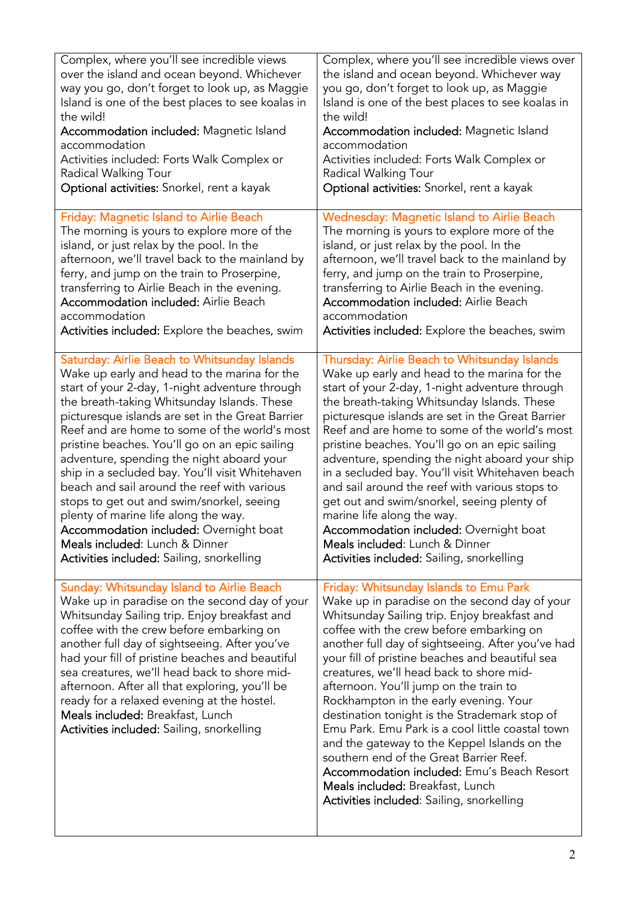| Complex, where you'll see incredible views                                                                                                                                                                                                                                                                                                                                                                                                                                                                                         | Complex, where you'll see incredible views over                                                                                                                                                                                                                                                                                                                                                                                                                                                                                                                                                                                                                                                                                                                   |
|------------------------------------------------------------------------------------------------------------------------------------------------------------------------------------------------------------------------------------------------------------------------------------------------------------------------------------------------------------------------------------------------------------------------------------------------------------------------------------------------------------------------------------|-------------------------------------------------------------------------------------------------------------------------------------------------------------------------------------------------------------------------------------------------------------------------------------------------------------------------------------------------------------------------------------------------------------------------------------------------------------------------------------------------------------------------------------------------------------------------------------------------------------------------------------------------------------------------------------------------------------------------------------------------------------------|
| over the island and ocean beyond. Whichever                                                                                                                                                                                                                                                                                                                                                                                                                                                                                        | the island and ocean beyond. Whichever way                                                                                                                                                                                                                                                                                                                                                                                                                                                                                                                                                                                                                                                                                                                        |
| way you go, don't forget to look up, as Maggie                                                                                                                                                                                                                                                                                                                                                                                                                                                                                     | you go, don't forget to look up, as Maggie                                                                                                                                                                                                                                                                                                                                                                                                                                                                                                                                                                                                                                                                                                                        |
| Island is one of the best places to see koalas in                                                                                                                                                                                                                                                                                                                                                                                                                                                                                  | Island is one of the best places to see koalas in                                                                                                                                                                                                                                                                                                                                                                                                                                                                                                                                                                                                                                                                                                                 |
| the wild!                                                                                                                                                                                                                                                                                                                                                                                                                                                                                                                          | the wild!                                                                                                                                                                                                                                                                                                                                                                                                                                                                                                                                                                                                                                                                                                                                                         |
| Accommodation included: Magnetic Island                                                                                                                                                                                                                                                                                                                                                                                                                                                                                            | Accommodation included: Magnetic Island                                                                                                                                                                                                                                                                                                                                                                                                                                                                                                                                                                                                                                                                                                                           |
| accommodation                                                                                                                                                                                                                                                                                                                                                                                                                                                                                                                      | accommodation                                                                                                                                                                                                                                                                                                                                                                                                                                                                                                                                                                                                                                                                                                                                                     |
| Activities included: Forts Walk Complex or                                                                                                                                                                                                                                                                                                                                                                                                                                                                                         | Activities included: Forts Walk Complex or                                                                                                                                                                                                                                                                                                                                                                                                                                                                                                                                                                                                                                                                                                                        |
| Radical Walking Tour                                                                                                                                                                                                                                                                                                                                                                                                                                                                                                               | Radical Walking Tour                                                                                                                                                                                                                                                                                                                                                                                                                                                                                                                                                                                                                                                                                                                                              |
| Optional activities: Snorkel, rent a kayak                                                                                                                                                                                                                                                                                                                                                                                                                                                                                         | Optional activities: Snorkel, rent a kayak                                                                                                                                                                                                                                                                                                                                                                                                                                                                                                                                                                                                                                                                                                                        |
| Friday: Magnetic Island to Airlie Beach                                                                                                                                                                                                                                                                                                                                                                                                                                                                                            | <b>Wednesday: Magnetic Island to Airlie Beach</b>                                                                                                                                                                                                                                                                                                                                                                                                                                                                                                                                                                                                                                                                                                                 |
| The morning is yours to explore more of the                                                                                                                                                                                                                                                                                                                                                                                                                                                                                        | The morning is yours to explore more of the                                                                                                                                                                                                                                                                                                                                                                                                                                                                                                                                                                                                                                                                                                                       |
| island, or just relax by the pool. In the                                                                                                                                                                                                                                                                                                                                                                                                                                                                                          | island, or just relax by the pool. In the                                                                                                                                                                                                                                                                                                                                                                                                                                                                                                                                                                                                                                                                                                                         |
| afternoon, we'll travel back to the mainland by                                                                                                                                                                                                                                                                                                                                                                                                                                                                                    | afternoon, we'll travel back to the mainland by                                                                                                                                                                                                                                                                                                                                                                                                                                                                                                                                                                                                                                                                                                                   |
| ferry, and jump on the train to Proserpine,                                                                                                                                                                                                                                                                                                                                                                                                                                                                                        | ferry, and jump on the train to Proserpine,                                                                                                                                                                                                                                                                                                                                                                                                                                                                                                                                                                                                                                                                                                                       |
| transferring to Airlie Beach in the evening.                                                                                                                                                                                                                                                                                                                                                                                                                                                                                       | transferring to Airlie Beach in the evening.                                                                                                                                                                                                                                                                                                                                                                                                                                                                                                                                                                                                                                                                                                                      |
| <b>Accommodation included: Airlie Beach</b>                                                                                                                                                                                                                                                                                                                                                                                                                                                                                        | <b>Accommodation included:</b> Airlie Beach                                                                                                                                                                                                                                                                                                                                                                                                                                                                                                                                                                                                                                                                                                                       |
| accommodation                                                                                                                                                                                                                                                                                                                                                                                                                                                                                                                      | accommodation                                                                                                                                                                                                                                                                                                                                                                                                                                                                                                                                                                                                                                                                                                                                                     |
| Activities included: Explore the beaches, swim                                                                                                                                                                                                                                                                                                                                                                                                                                                                                     | Activities included: Explore the beaches, swim                                                                                                                                                                                                                                                                                                                                                                                                                                                                                                                                                                                                                                                                                                                    |
| Saturday: Airlie Beach to Whitsunday Islands                                                                                                                                                                                                                                                                                                                                                                                                                                                                                       | Thursday: Airlie Beach to Whitsunday Islands                                                                                                                                                                                                                                                                                                                                                                                                                                                                                                                                                                                                                                                                                                                      |
| Wake up early and head to the marina for the                                                                                                                                                                                                                                                                                                                                                                                                                                                                                       | Wake up early and head to the marina for the                                                                                                                                                                                                                                                                                                                                                                                                                                                                                                                                                                                                                                                                                                                      |
| start of your 2-day, 1-night adventure through                                                                                                                                                                                                                                                                                                                                                                                                                                                                                     | start of your 2-day, 1-night adventure through                                                                                                                                                                                                                                                                                                                                                                                                                                                                                                                                                                                                                                                                                                                    |
| the breath-taking Whitsunday Islands. These                                                                                                                                                                                                                                                                                                                                                                                                                                                                                        | the breath-taking Whitsunday Islands. These                                                                                                                                                                                                                                                                                                                                                                                                                                                                                                                                                                                                                                                                                                                       |
| picturesque islands are set in the Great Barrier                                                                                                                                                                                                                                                                                                                                                                                                                                                                                   | picturesque islands are set in the Great Barrier                                                                                                                                                                                                                                                                                                                                                                                                                                                                                                                                                                                                                                                                                                                  |
| Reef and are home to some of the world's most                                                                                                                                                                                                                                                                                                                                                                                                                                                                                      | Reef and are home to some of the world's most                                                                                                                                                                                                                                                                                                                                                                                                                                                                                                                                                                                                                                                                                                                     |
| pristine beaches. You'll go on an epic sailing                                                                                                                                                                                                                                                                                                                                                                                                                                                                                     | pristine beaches. You'll go on an epic sailing                                                                                                                                                                                                                                                                                                                                                                                                                                                                                                                                                                                                                                                                                                                    |
| adventure, spending the night aboard your                                                                                                                                                                                                                                                                                                                                                                                                                                                                                          | adventure, spending the night aboard your ship                                                                                                                                                                                                                                                                                                                                                                                                                                                                                                                                                                                                                                                                                                                    |
| ship in a secluded bay. You'll visit Whitehaven                                                                                                                                                                                                                                                                                                                                                                                                                                                                                    | in a secluded bay. You'll visit Whitehaven beach                                                                                                                                                                                                                                                                                                                                                                                                                                                                                                                                                                                                                                                                                                                  |
| beach and sail around the reef with various                                                                                                                                                                                                                                                                                                                                                                                                                                                                                        | and sail around the reef with various stops to                                                                                                                                                                                                                                                                                                                                                                                                                                                                                                                                                                                                                                                                                                                    |
| stops to get out and swim/snorkel, seeing                                                                                                                                                                                                                                                                                                                                                                                                                                                                                          | get out and swim/snorkel, seeing plenty of                                                                                                                                                                                                                                                                                                                                                                                                                                                                                                                                                                                                                                                                                                                        |
| plenty of marine life along the way.                                                                                                                                                                                                                                                                                                                                                                                                                                                                                               | marine life along the way.                                                                                                                                                                                                                                                                                                                                                                                                                                                                                                                                                                                                                                                                                                                                        |
| Accommodation included: Overnight boat                                                                                                                                                                                                                                                                                                                                                                                                                                                                                             | Accommodation included: Overnight boat                                                                                                                                                                                                                                                                                                                                                                                                                                                                                                                                                                                                                                                                                                                            |
| Meals included: Lunch & Dinner                                                                                                                                                                                                                                                                                                                                                                                                                                                                                                     | Meals included: Lunch & Dinner                                                                                                                                                                                                                                                                                                                                                                                                                                                                                                                                                                                                                                                                                                                                    |
| Activities included: Sailing, snorkelling                                                                                                                                                                                                                                                                                                                                                                                                                                                                                          | Activities included: Sailing, snorkelling                                                                                                                                                                                                                                                                                                                                                                                                                                                                                                                                                                                                                                                                                                                         |
| Sunday: Whitsunday Island to Airlie Beach<br>Wake up in paradise on the second day of your<br>Whitsunday Sailing trip. Enjoy breakfast and<br>coffee with the crew before embarking on<br>another full day of sightseeing. After you've<br>had your fill of pristine beaches and beautiful<br>sea creatures, we'll head back to shore mid-<br>afternoon. After all that exploring, you'll be<br>ready for a relaxed evening at the hostel.<br>Meals included: Breakfast, Lunch<br><b>Activities included:</b> Sailing, snorkelling | Friday: Whitsunday Islands to Emu Park<br>Wake up in paradise on the second day of your<br>Whitsunday Sailing trip. Enjoy breakfast and<br>coffee with the crew before embarking on<br>another full day of sightseeing. After you've had<br>your fill of pristine beaches and beautiful sea<br>creatures, we'll head back to shore mid-<br>afternoon. You'll jump on the train to<br>Rockhampton in the early evening. Your<br>destination tonight is the Strademark stop of<br>Emu Park. Emu Park is a cool little coastal town<br>and the gateway to the Keppel Islands on the<br>southern end of the Great Barrier Reef.<br>Accommodation included: Emu's Beach Resort<br>Meals included: Breakfast, Lunch<br><b>Activities included:</b> Sailing, snorkelling |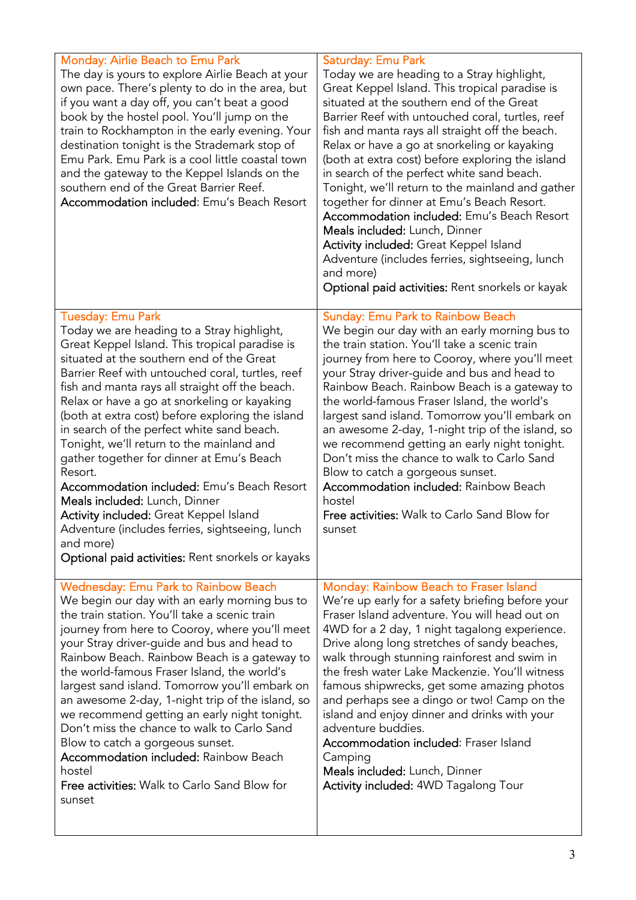| Monday: Airlie Beach to Emu Park<br>The day is yours to explore Airlie Beach at your<br>own pace. There's plenty to do in the area, but<br>if you want a day off, you can't beat a good<br>book by the hostel pool. You'll jump on the<br>train to Rockhampton in the early evening. Your<br>destination tonight is the Strademark stop of<br>Emu Park. Emu Park is a cool little coastal town<br>and the gateway to the Keppel Islands on the<br>southern end of the Great Barrier Reef.<br>Accommodation included: Emu's Beach Resort                                                                                                                                                                                                                                           | Saturday: Emu Park<br>Today we are heading to a Stray highlight,<br>Great Keppel Island. This tropical paradise is<br>situated at the southern end of the Great<br>Barrier Reef with untouched coral, turtles, reef<br>fish and manta rays all straight off the beach.<br>Relax or have a go at snorkeling or kayaking<br>(both at extra cost) before exploring the island<br>in search of the perfect white sand beach.<br>Tonight, we'll return to the mainland and gather<br>together for dinner at Emu's Beach Resort.<br><b>Accommodation included:</b> Emu's Beach Resort<br>Meals included: Lunch, Dinner<br>Activity included: Great Keppel Island<br>Adventure (includes ferries, sightseeing, lunch<br>and more)<br>Optional paid activities: Rent snorkels or kayak |
|-----------------------------------------------------------------------------------------------------------------------------------------------------------------------------------------------------------------------------------------------------------------------------------------------------------------------------------------------------------------------------------------------------------------------------------------------------------------------------------------------------------------------------------------------------------------------------------------------------------------------------------------------------------------------------------------------------------------------------------------------------------------------------------|--------------------------------------------------------------------------------------------------------------------------------------------------------------------------------------------------------------------------------------------------------------------------------------------------------------------------------------------------------------------------------------------------------------------------------------------------------------------------------------------------------------------------------------------------------------------------------------------------------------------------------------------------------------------------------------------------------------------------------------------------------------------------------|
| <b>Tuesday: Emu Park</b><br>Today we are heading to a Stray highlight,<br>Great Keppel Island. This tropical paradise is<br>situated at the southern end of the Great<br>Barrier Reef with untouched coral, turtles, reef<br>fish and manta rays all straight off the beach.<br>Relax or have a go at snorkeling or kayaking<br>(both at extra cost) before exploring the island<br>in search of the perfect white sand beach.<br>Tonight, we'll return to the mainland and<br>gather together for dinner at Emu's Beach<br>Resort.<br>Accommodation included: Emu's Beach Resort<br>Meals included: Lunch, Dinner<br>Activity included: Great Keppel Island<br>Adventure (includes ferries, sightseeing, lunch<br>and more)<br>Optional paid activities: Rent snorkels or kayaks | <b>Sunday: Emu Park to Rainbow Beach</b><br>We begin our day with an early morning bus to<br>the train station. You'll take a scenic train<br>journey from here to Cooroy, where you'll meet<br>your Stray driver-guide and bus and head to<br>Rainbow Beach. Rainbow Beach is a gateway to<br>the world-famous Fraser Island, the world's<br>largest sand island. Tomorrow you'll embark on<br>an awesome 2-day, 1-night trip of the island, so<br>we recommend getting an early night tonight.<br>Don't miss the chance to walk to Carlo Sand<br>Blow to catch a gorgeous sunset.<br>Accommodation included: Rainbow Beach<br>hostel<br><b>Free activities:</b> Walk to Carlo Sand Blow for<br>sunset                                                                        |
| Wednesday: Emu Park to Rainbow Beach<br>We begin our day with an early morning bus to<br>the train station. You'll take a scenic train<br>journey from here to Cooroy, where you'll meet<br>your Stray driver-guide and bus and head to<br>Rainbow Beach. Rainbow Beach is a gateway to<br>the world-famous Fraser Island, the world's<br>largest sand island. Tomorrow you'll embark on<br>an awesome 2-day, 1-night trip of the island, so<br>we recommend getting an early night tonight.<br>Don't miss the chance to walk to Carlo Sand<br>Blow to catch a gorgeous sunset.<br><b>Accommodation included: Rainbow Beach</b><br>hostel<br><b>Free activities:</b> Walk to Carlo Sand Blow for<br>sunset                                                                        | Monday: Rainbow Beach to Fraser Island<br>We're up early for a safety briefing before your<br>Fraser Island adventure. You will head out on<br>4WD for a 2 day, 1 night tagalong experience.<br>Drive along long stretches of sandy beaches,<br>walk through stunning rainforest and swim in<br>the fresh water Lake Mackenzie. You'll witness<br>famous shipwrecks, get some amazing photos<br>and perhaps see a dingo or two! Camp on the<br>island and enjoy dinner and drinks with your<br>adventure buddies.<br><b>Accommodation included: Fraser Island</b><br>Camping<br>Meals included: Lunch, Dinner<br>Activity included: 4WD Tagalong Tour                                                                                                                          |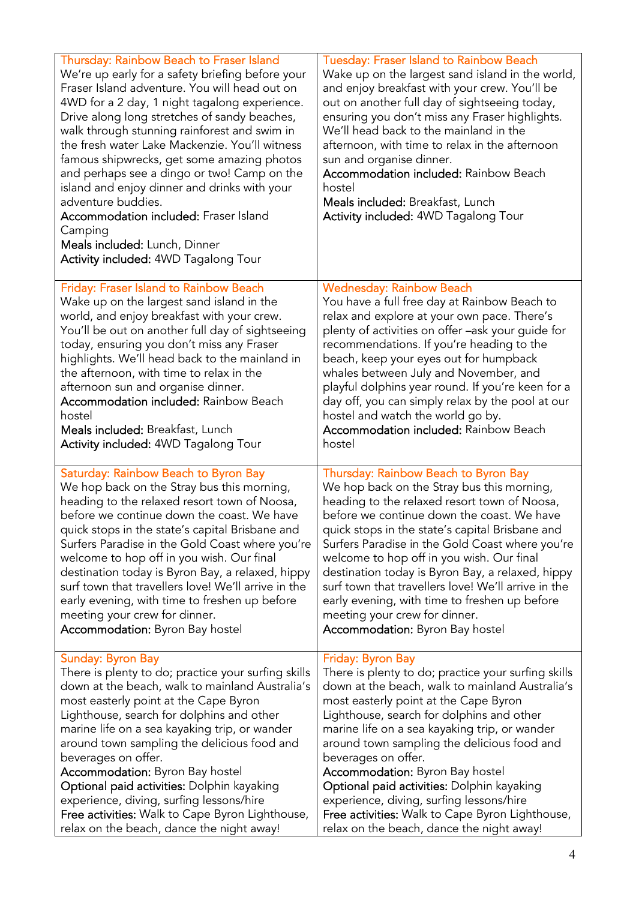| Thursday: Rainbow Beach to Fraser Island<br>We're up early for a safety briefing before your<br>Fraser Island adventure. You will head out on<br>4WD for a 2 day, 1 night tagalong experience.<br>Drive along long stretches of sandy beaches,<br>walk through stunning rainforest and swim in<br>the fresh water Lake Mackenzie. You'll witness<br>famous shipwrecks, get some amazing photos<br>and perhaps see a dingo or two! Camp on the<br>island and enjoy dinner and drinks with your<br>adventure buddies.<br><b>Accommodation included: Fraser Island</b><br>Camping<br>Meals included: Lunch, Dinner<br>Activity included: 4WD Tagalong Tour | <b>Tuesday: Fraser Island to Rainbow Beach</b><br>Wake up on the largest sand island in the world,<br>and enjoy breakfast with your crew. You'll be<br>out on another full day of sightseeing today,<br>ensuring you don't miss any Fraser highlights.<br>We'll head back to the mainland in the<br>afternoon, with time to relax in the afternoon<br>sun and organise dinner.<br><b>Accommodation included: Rainbow Beach</b><br>hostel<br>Meals included: Breakfast, Lunch<br>Activity included: 4WD Tagalong Tour |
|---------------------------------------------------------------------------------------------------------------------------------------------------------------------------------------------------------------------------------------------------------------------------------------------------------------------------------------------------------------------------------------------------------------------------------------------------------------------------------------------------------------------------------------------------------------------------------------------------------------------------------------------------------|----------------------------------------------------------------------------------------------------------------------------------------------------------------------------------------------------------------------------------------------------------------------------------------------------------------------------------------------------------------------------------------------------------------------------------------------------------------------------------------------------------------------|
| <b>Friday: Fraser Island to Rainbow Beach</b>                                                                                                                                                                                                                                                                                                                                                                                                                                                                                                                                                                                                           | <b>Wednesday: Rainbow Beach</b>                                                                                                                                                                                                                                                                                                                                                                                                                                                                                      |
| Wake up on the largest sand island in the                                                                                                                                                                                                                                                                                                                                                                                                                                                                                                                                                                                                               | You have a full free day at Rainbow Beach to                                                                                                                                                                                                                                                                                                                                                                                                                                                                         |
| world, and enjoy breakfast with your crew.                                                                                                                                                                                                                                                                                                                                                                                                                                                                                                                                                                                                              | relax and explore at your own pace. There's                                                                                                                                                                                                                                                                                                                                                                                                                                                                          |
| You'll be out on another full day of sightseeing                                                                                                                                                                                                                                                                                                                                                                                                                                                                                                                                                                                                        | plenty of activities on offer -ask your guide for                                                                                                                                                                                                                                                                                                                                                                                                                                                                    |
| today, ensuring you don't miss any Fraser                                                                                                                                                                                                                                                                                                                                                                                                                                                                                                                                                                                                               | recommendations. If you're heading to the                                                                                                                                                                                                                                                                                                                                                                                                                                                                            |
| highlights. We'll head back to the mainland in                                                                                                                                                                                                                                                                                                                                                                                                                                                                                                                                                                                                          | beach, keep your eyes out for humpback                                                                                                                                                                                                                                                                                                                                                                                                                                                                               |
| the afternoon, with time to relax in the                                                                                                                                                                                                                                                                                                                                                                                                                                                                                                                                                                                                                | whales between July and November, and                                                                                                                                                                                                                                                                                                                                                                                                                                                                                |
| afternoon sun and organise dinner.                                                                                                                                                                                                                                                                                                                                                                                                                                                                                                                                                                                                                      | playful dolphins year round. If you're keen for a                                                                                                                                                                                                                                                                                                                                                                                                                                                                    |
| <b>Accommodation included: Rainbow Beach</b>                                                                                                                                                                                                                                                                                                                                                                                                                                                                                                                                                                                                            | day off, you can simply relax by the pool at our                                                                                                                                                                                                                                                                                                                                                                                                                                                                     |
| hostel                                                                                                                                                                                                                                                                                                                                                                                                                                                                                                                                                                                                                                                  | hostel and watch the world go by.                                                                                                                                                                                                                                                                                                                                                                                                                                                                                    |
| Meals included: Breakfast, Lunch                                                                                                                                                                                                                                                                                                                                                                                                                                                                                                                                                                                                                        | <b>Accommodation included: Rainbow Beach</b>                                                                                                                                                                                                                                                                                                                                                                                                                                                                         |
| <b>Activity included: 4WD Tagalong Tour</b>                                                                                                                                                                                                                                                                                                                                                                                                                                                                                                                                                                                                             | hostel                                                                                                                                                                                                                                                                                                                                                                                                                                                                                                               |
| Saturday: Rainbow Beach to Byron Bay                                                                                                                                                                                                                                                                                                                                                                                                                                                                                                                                                                                                                    | Thursday: Rainbow Beach to Byron Bay                                                                                                                                                                                                                                                                                                                                                                                                                                                                                 |
| We hop back on the Stray bus this morning,                                                                                                                                                                                                                                                                                                                                                                                                                                                                                                                                                                                                              | We hop back on the Stray bus this morning,                                                                                                                                                                                                                                                                                                                                                                                                                                                                           |
| heading to the relaxed resort town of Noosa,                                                                                                                                                                                                                                                                                                                                                                                                                                                                                                                                                                                                            | heading to the relaxed resort town of Noosa,                                                                                                                                                                                                                                                                                                                                                                                                                                                                         |
| before we continue down the coast. We have                                                                                                                                                                                                                                                                                                                                                                                                                                                                                                                                                                                                              | before we continue down the coast. We have                                                                                                                                                                                                                                                                                                                                                                                                                                                                           |
| quick stops in the state's capital Brisbane and                                                                                                                                                                                                                                                                                                                                                                                                                                                                                                                                                                                                         | quick stops in the state's capital Brisbane and                                                                                                                                                                                                                                                                                                                                                                                                                                                                      |
| Surfers Paradise in the Gold Coast where you're                                                                                                                                                                                                                                                                                                                                                                                                                                                                                                                                                                                                         | Surfers Paradise in the Gold Coast where you're                                                                                                                                                                                                                                                                                                                                                                                                                                                                      |
| welcome to hop off in you wish. Our final                                                                                                                                                                                                                                                                                                                                                                                                                                                                                                                                                                                                               | welcome to hop off in you wish. Our final                                                                                                                                                                                                                                                                                                                                                                                                                                                                            |
| destination today is Byron Bay, a relaxed, hippy                                                                                                                                                                                                                                                                                                                                                                                                                                                                                                                                                                                                        | destination today is Byron Bay, a relaxed, hippy                                                                                                                                                                                                                                                                                                                                                                                                                                                                     |
| surf town that travellers love! We'll arrive in the                                                                                                                                                                                                                                                                                                                                                                                                                                                                                                                                                                                                     | surf town that travellers love! We'll arrive in the                                                                                                                                                                                                                                                                                                                                                                                                                                                                  |
| early evening, with time to freshen up before                                                                                                                                                                                                                                                                                                                                                                                                                                                                                                                                                                                                           | early evening, with time to freshen up before                                                                                                                                                                                                                                                                                                                                                                                                                                                                        |
| meeting your crew for dinner.                                                                                                                                                                                                                                                                                                                                                                                                                                                                                                                                                                                                                           | meeting your crew for dinner.                                                                                                                                                                                                                                                                                                                                                                                                                                                                                        |
| <b>Accommodation:</b> Byron Bay hostel                                                                                                                                                                                                                                                                                                                                                                                                                                                                                                                                                                                                                  | Accommodation: Byron Bay hostel                                                                                                                                                                                                                                                                                                                                                                                                                                                                                      |
| <b>Sunday: Byron Bay</b>                                                                                                                                                                                                                                                                                                                                                                                                                                                                                                                                                                                                                                | Friday: Byron Bay                                                                                                                                                                                                                                                                                                                                                                                                                                                                                                    |
| There is plenty to do; practice your surfing skills                                                                                                                                                                                                                                                                                                                                                                                                                                                                                                                                                                                                     | There is plenty to do; practice your surfing skills                                                                                                                                                                                                                                                                                                                                                                                                                                                                  |
| down at the beach, walk to mainland Australia's                                                                                                                                                                                                                                                                                                                                                                                                                                                                                                                                                                                                         | down at the beach, walk to mainland Australia's                                                                                                                                                                                                                                                                                                                                                                                                                                                                      |
| most easterly point at the Cape Byron                                                                                                                                                                                                                                                                                                                                                                                                                                                                                                                                                                                                                   | most easterly point at the Cape Byron                                                                                                                                                                                                                                                                                                                                                                                                                                                                                |
| Lighthouse, search for dolphins and other                                                                                                                                                                                                                                                                                                                                                                                                                                                                                                                                                                                                               | Lighthouse, search for dolphins and other                                                                                                                                                                                                                                                                                                                                                                                                                                                                            |
| marine life on a sea kayaking trip, or wander                                                                                                                                                                                                                                                                                                                                                                                                                                                                                                                                                                                                           | marine life on a sea kayaking trip, or wander                                                                                                                                                                                                                                                                                                                                                                                                                                                                        |
| around town sampling the delicious food and                                                                                                                                                                                                                                                                                                                                                                                                                                                                                                                                                                                                             | around town sampling the delicious food and                                                                                                                                                                                                                                                                                                                                                                                                                                                                          |
| beverages on offer.                                                                                                                                                                                                                                                                                                                                                                                                                                                                                                                                                                                                                                     | beverages on offer.                                                                                                                                                                                                                                                                                                                                                                                                                                                                                                  |
| <b>Accommodation:</b> Byron Bay hostel                                                                                                                                                                                                                                                                                                                                                                                                                                                                                                                                                                                                                  | <b>Accommodation:</b> Byron Bay hostel                                                                                                                                                                                                                                                                                                                                                                                                                                                                               |
| Optional paid activities: Dolphin kayaking                                                                                                                                                                                                                                                                                                                                                                                                                                                                                                                                                                                                              | Optional paid activities: Dolphin kayaking                                                                                                                                                                                                                                                                                                                                                                                                                                                                           |
| experience, diving, surfing lessons/hire                                                                                                                                                                                                                                                                                                                                                                                                                                                                                                                                                                                                                | experience, diving, surfing lessons/hire                                                                                                                                                                                                                                                                                                                                                                                                                                                                             |
| Free activities: Walk to Cape Byron Lighthouse,                                                                                                                                                                                                                                                                                                                                                                                                                                                                                                                                                                                                         | Free activities: Walk to Cape Byron Lighthouse,                                                                                                                                                                                                                                                                                                                                                                                                                                                                      |
| relax on the beach, dance the night away!                                                                                                                                                                                                                                                                                                                                                                                                                                                                                                                                                                                                               | relax on the beach, dance the night away!                                                                                                                                                                                                                                                                                                                                                                                                                                                                            |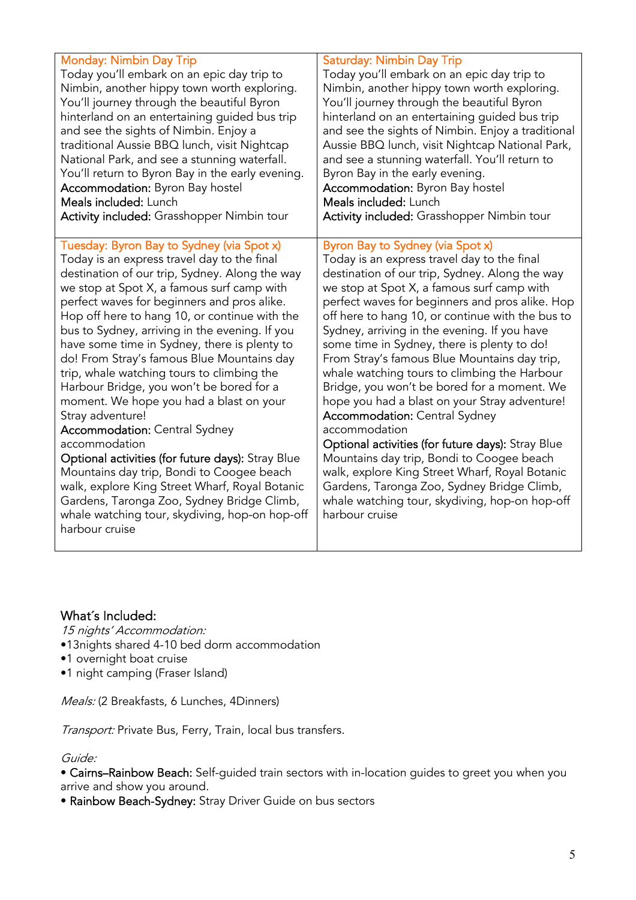| <b>Monday: Nimbin Day Trip</b>                                                                                                                                                                                                                                                                                                                                                                                                                                                                                                                                                                                                                                                                                                                                                                                                                                                                                                   | <b>Saturday: Nimbin Day Trip</b>                                                                                                                                                                                                                                                                                                                                                                                                                                                                                                                                                                                                                                                                                                                                                                                                                                                                                     |
|----------------------------------------------------------------------------------------------------------------------------------------------------------------------------------------------------------------------------------------------------------------------------------------------------------------------------------------------------------------------------------------------------------------------------------------------------------------------------------------------------------------------------------------------------------------------------------------------------------------------------------------------------------------------------------------------------------------------------------------------------------------------------------------------------------------------------------------------------------------------------------------------------------------------------------|----------------------------------------------------------------------------------------------------------------------------------------------------------------------------------------------------------------------------------------------------------------------------------------------------------------------------------------------------------------------------------------------------------------------------------------------------------------------------------------------------------------------------------------------------------------------------------------------------------------------------------------------------------------------------------------------------------------------------------------------------------------------------------------------------------------------------------------------------------------------------------------------------------------------|
| Today you'll embark on an epic day trip to                                                                                                                                                                                                                                                                                                                                                                                                                                                                                                                                                                                                                                                                                                                                                                                                                                                                                       | Today you'll embark on an epic day trip to                                                                                                                                                                                                                                                                                                                                                                                                                                                                                                                                                                                                                                                                                                                                                                                                                                                                           |
| Nimbin, another hippy town worth exploring.                                                                                                                                                                                                                                                                                                                                                                                                                                                                                                                                                                                                                                                                                                                                                                                                                                                                                      | Nimbin, another hippy town worth exploring.                                                                                                                                                                                                                                                                                                                                                                                                                                                                                                                                                                                                                                                                                                                                                                                                                                                                          |
| You'll journey through the beautiful Byron                                                                                                                                                                                                                                                                                                                                                                                                                                                                                                                                                                                                                                                                                                                                                                                                                                                                                       | You'll journey through the beautiful Byron                                                                                                                                                                                                                                                                                                                                                                                                                                                                                                                                                                                                                                                                                                                                                                                                                                                                           |
| hinterland on an entertaining guided bus trip                                                                                                                                                                                                                                                                                                                                                                                                                                                                                                                                                                                                                                                                                                                                                                                                                                                                                    | hinterland on an entertaining guided bus trip                                                                                                                                                                                                                                                                                                                                                                                                                                                                                                                                                                                                                                                                                                                                                                                                                                                                        |
| and see the sights of Nimbin. Enjoy a                                                                                                                                                                                                                                                                                                                                                                                                                                                                                                                                                                                                                                                                                                                                                                                                                                                                                            | and see the sights of Nimbin. Enjoy a traditional                                                                                                                                                                                                                                                                                                                                                                                                                                                                                                                                                                                                                                                                                                                                                                                                                                                                    |
| traditional Aussie BBQ lunch, visit Nightcap                                                                                                                                                                                                                                                                                                                                                                                                                                                                                                                                                                                                                                                                                                                                                                                                                                                                                     | Aussie BBQ lunch, visit Nightcap National Park,                                                                                                                                                                                                                                                                                                                                                                                                                                                                                                                                                                                                                                                                                                                                                                                                                                                                      |
| National Park, and see a stunning waterfall.                                                                                                                                                                                                                                                                                                                                                                                                                                                                                                                                                                                                                                                                                                                                                                                                                                                                                     | and see a stunning waterfall. You'll return to                                                                                                                                                                                                                                                                                                                                                                                                                                                                                                                                                                                                                                                                                                                                                                                                                                                                       |
| You'll return to Byron Bay in the early evening.                                                                                                                                                                                                                                                                                                                                                                                                                                                                                                                                                                                                                                                                                                                                                                                                                                                                                 | Byron Bay in the early evening.                                                                                                                                                                                                                                                                                                                                                                                                                                                                                                                                                                                                                                                                                                                                                                                                                                                                                      |
| <b>Accommodation: Byron Bay hostel</b>                                                                                                                                                                                                                                                                                                                                                                                                                                                                                                                                                                                                                                                                                                                                                                                                                                                                                           | <b>Accommodation:</b> Byron Bay hostel                                                                                                                                                                                                                                                                                                                                                                                                                                                                                                                                                                                                                                                                                                                                                                                                                                                                               |
| Meals included: Lunch                                                                                                                                                                                                                                                                                                                                                                                                                                                                                                                                                                                                                                                                                                                                                                                                                                                                                                            | Meals included: Lunch                                                                                                                                                                                                                                                                                                                                                                                                                                                                                                                                                                                                                                                                                                                                                                                                                                                                                                |
| Activity included: Grasshopper Nimbin tour                                                                                                                                                                                                                                                                                                                                                                                                                                                                                                                                                                                                                                                                                                                                                                                                                                                                                       | Activity included: Grasshopper Nimbin tour                                                                                                                                                                                                                                                                                                                                                                                                                                                                                                                                                                                                                                                                                                                                                                                                                                                                           |
| Tuesday: Byron Bay to Sydney (via Spot x)<br>Today is an express travel day to the final<br>destination of our trip, Sydney. Along the way<br>we stop at Spot X, a famous surf camp with<br>perfect waves for beginners and pros alike.<br>Hop off here to hang 10, or continue with the<br>bus to Sydney, arriving in the evening. If you<br>have some time in Sydney, there is plenty to<br>do! From Stray's famous Blue Mountains day<br>trip, whale watching tours to climbing the<br>Harbour Bridge, you won't be bored for a<br>moment. We hope you had a blast on your<br>Stray adventure!<br><b>Accommodation: Central Sydney</b><br>accommodation<br>Optional activities (for future days): Stray Blue<br>Mountains day trip, Bondi to Coogee beach<br>walk, explore King Street Wharf, Royal Botanic<br>Gardens, Taronga Zoo, Sydney Bridge Climb,<br>whale watching tour, skydiving, hop-on hop-off<br>harbour cruise | Byron Bay to Sydney (via Spot x)<br>Today is an express travel day to the final<br>destination of our trip, Sydney. Along the way<br>we stop at Spot X, a famous surf camp with<br>perfect waves for beginners and pros alike. Hop<br>off here to hang 10, or continue with the bus to<br>Sydney, arriving in the evening. If you have<br>some time in Sydney, there is plenty to do!<br>From Stray's famous Blue Mountains day trip,<br>whale watching tours to climbing the Harbour<br>Bridge, you won't be bored for a moment. We<br>hope you had a blast on your Stray adventure!<br><b>Accommodation: Central Sydney</b><br>accommodation<br>Optional activities (for future days): Stray Blue<br>Mountains day trip, Bondi to Coogee beach<br>walk, explore King Street Wharf, Royal Botanic<br>Gardens, Taronga Zoo, Sydney Bridge Climb,<br>whale watching tour, skydiving, hop-on hop-off<br>harbour cruise |

#### What´s Included:

15 nights' Accommodation:

- •13nights shared 4-10 bed dorm accommodation
- •1 overnight boat cruise
- •1 night camping (Fraser Island)

Meals: (2 Breakfasts, 6 Lunches, 4Dinners)

Transport: Private Bus, Ferry, Train, local bus transfers.

#### Guide:

• Cairns–Rainbow Beach: Self-guided train sectors with in-location guides to greet you when you arrive and show you around.

• Rainbow Beach-Sydney: Stray Driver Guide on bus sectors